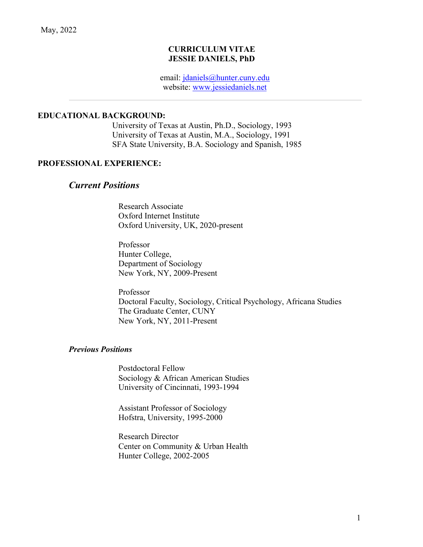#### **CURRICULUM VITAE JESSIE DANIELS, PhD**

email: jdaniels@hunter.cuny.edu website: www.jessiedaniels.net

#### **EDUCATIONAL BACKGROUND:**

University of Texas at Austin, Ph.D., Sociology, 1993 University of Texas at Austin, M.A., Sociology, 1991 SFA State University, B.A. Sociology and Spanish, 1985

#### **PROFESSIONAL EXPERIENCE:**

## *Current Positions*

Research Associate Oxford Internet Institute Oxford University, UK, 2020-present

Professor Hunter College, Department of Sociology New York, NY, 2009-Present

Professor Doctoral Faculty, Sociology, Critical Psychology, Africana Studies The Graduate Center, CUNY New York, NY, 2011-Present

#### *Previous Positions*

Postdoctoral Fellow Sociology & African American Studies University of Cincinnati, 1993-1994

Assistant Professor of Sociology Hofstra, University, 1995-2000

Research Director Center on Community & Urban Health Hunter College, 2002-2005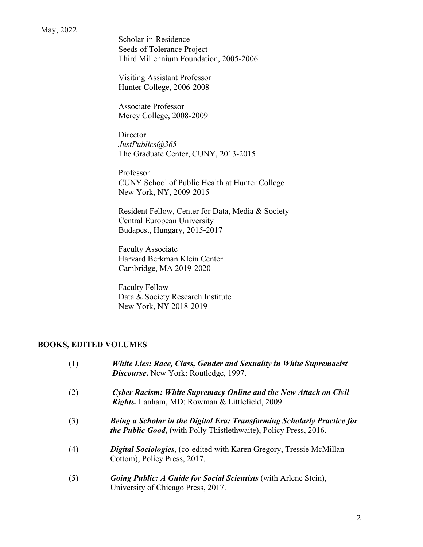Scholar-in-Residence Seeds of Tolerance Project Third Millennium Foundation, 2005-2006

Visiting Assistant Professor Hunter College, 2006-2008

Associate Professor Mercy College, 2008-2009

**Director** *JustPublics@365* The Graduate Center, CUNY, 2013-2015

Professor CUNY School of Public Health at Hunter College New York, NY, 2009-2015

Resident Fellow, Center for Data, Media & Society Central European University Budapest, Hungary, 2015-2017

Faculty Associate Harvard Berkman Klein Center Cambridge, MA 2019-2020

Faculty Fellow Data & Society Research Institute New York, NY 2018-2019

# **BOOKS, EDITED VOLUMES**

| (1) | White Lies: Race, Class, Gender and Sexuality in White Supremacist<br><b>Discourse.</b> New York: Routledge, 1997.                                  |
|-----|-----------------------------------------------------------------------------------------------------------------------------------------------------|
| (2) | <b>Cyber Racism: White Supremacy Online and the New Attack on Civil</b><br>Rights. Lanham, MD: Rowman & Littlefield, 2009.                          |
| (3) | Being a Scholar in the Digital Era: Transforming Scholarly Practice for<br><i>the Public Good,</i> (with Polly Thistlethwaite), Policy Press, 2016. |
| (4) | <b>Digital Sociologies, (co-edited with Karen Gregory, Tressie McMillan</b><br>Cottom), Policy Press, 2017.                                         |
| (5) | <b>Going Public: A Guide for Social Scientists (with Arlene Stein),</b><br>University of Chicago Press, 2017.                                       |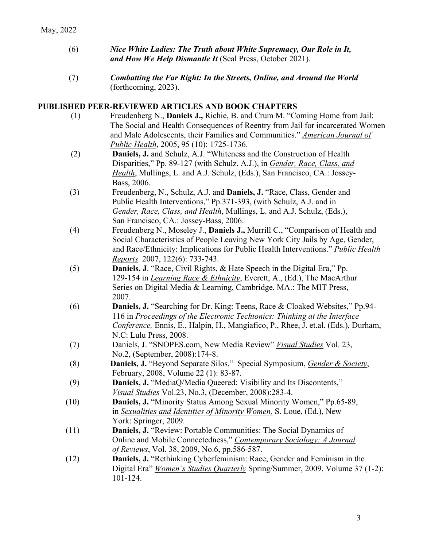- (6) *Nice White Ladies: The Truth about White Supremacy, Our Role in It, and How We Help Dismantle It* (Seal Press, October 2021).
- (7) *Combatting the Far Right: In the Streets, Online, and Around the World* (forthcoming, 2023).

#### **PUBLISHED PEER-REVIEWED ARTICLES AND BOOK CHAPTERS**

- (1) Freudenberg N., **Daniels J.,** Richie, B. and Crum M. "Coming Home from Jail: The Social and Health Consequences of Reentry from Jail for incarcerated Women and Male Adolescents, their Families and Communities." *American Journal of Public Health*, 2005, 95 (10): 1725-1736.
- (2) **Daniels, J.** and Schulz, A.J. "Whiteness and the Construction of Health Disparities," Pp. 89-127 (with Schulz, A.J.), in *Gender, Race, Class, and Health*, Mullings, L. and A.J. Schulz, (Eds.), San Francisco, CA.: Jossey-Bass, 2006.
- (3) Freudenberg, N., Schulz, A.J. and **Daniels, J.** "Race, Class, Gender and Public Health Interventions," Pp.371-393, (with Schulz, A.J. and in *Gender, Race, Class, and Health*, Mullings, L. and A.J. Schulz, (Eds.), San Francisco, CA.: Jossey-Bass, 2006.
- (4) Freudenberg N., Moseley J., **Daniels J.,** Murrill C., "Comparison of Health and Social Characteristics of People Leaving New York City Jails by Age, Gender, and Race/Ethnicity: Implications for Public Health Interventions." *Public Health Reports* 2007, 122(6): 733-743.
- (5) **Daniels, J**. "Race, Civil Rights, & Hate Speech in the Digital Era," Pp. 129-154 in *Learning Race & Ethnicity*, Everett, A., (Ed.), The MacArthur Series on Digital Media & Learning, Cambridge, MA.: The MIT Press, 2007.
- (6) **Daniels, J.** "Searching for Dr. King: Teens, Race & Cloaked Websites," Pp.94- 116 in *Proceedings of the Electronic Techtonics: Thinking at the Interface Conference,* Ennis, E., Halpin, H., Mangiafico, P., Rhee, J. et.al. (Eds.), Durham, N.C: Lulu Press, 2008.
- (7) Daniels, J. "SNOPES.com, New Media Review" *Visual Studies* Vol. 23, No.2, (September, 2008):174-8.
- (8) **Daniels, J.** "Beyond Separate Silos." Special Symposium, *Gender & Society*, February, 2008, Volume 22 (1): 83-87.
- (9) **Daniels, J.** "MediaQ/Media Queered: Visibility and Its Discontents," *Visual Studies* Vol.23, No.3, (December, 2008):283-4.
- (10) **Daniels, J.** "Minority Status Among Sexual Minority Women," Pp.65-89, in *Sexualities and Identities of Minority Women,* S. Loue, (Ed.), New York: Springer, 2009.
- (11) **Daniels, J.** "Review: Portable Communities: The Social Dynamics of Online and Mobile Connectedness," *Contemporary Sociology: A Journal of Reviews*, Vol. 38, 2009, No.6, pp.586-587.
- (12) **Daniels, J.** "Rethinking Cyberfeminism: Race, Gender and Feminism in the Digital Era" *Women's Studies Quarterly* Spring/Summer, 2009, Volume 37 (1-2): 101-124.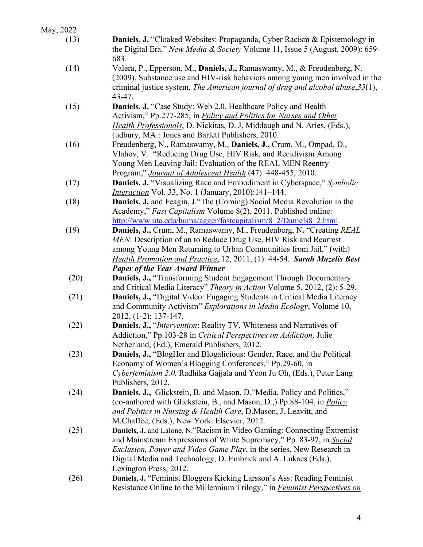| May, 2022 |                                                                                                                                                                                                                                                                                                                                   |
|-----------|-----------------------------------------------------------------------------------------------------------------------------------------------------------------------------------------------------------------------------------------------------------------------------------------------------------------------------------|
| (13)      | Daniels, J. "Cloaked Websites: Propaganda, Cyber Racism & Epistemology in<br>the Digital Era." New Media & Society Volume 11, Issue 5 (August, 2009): 659-<br>683.                                                                                                                                                                |
| (14)      | Valera, P., Epperson, M., Daniels, J., Ramaswamy, M., & Freudenberg, N.<br>(2009). Substance use and HIV-risk behaviors among young men involved in the<br>criminal justice system. The American journal of drug and alcohol abuse, 35(1),<br>$43 - 47.$                                                                          |
| (15)      | Daniels, J. "Case Study: Web 2.0, Healthcare Policy and Health<br>Activism," Pp.277-285, in <i>Policy and Politics for Nurses and Other</i><br><i>Health Professionals</i> , D. Nickitas, D. J. Middaugh and N. Aries, (Eds.),<br>(udbury, MA.: Jones and Barlett Publishers, 2010.                                               |
| (16)      | Freudenberg, N., Ramaswamy, M., Daniels, J., Crum, M., Ompad, D.,<br>Vlahov, V. "Reducing Drug Use, HIV Risk, and Recidivism Among<br>Young Men Leaving Jail: Evaluation of the REAL MEN Reentry<br>Program," <i>Journal of Adolescent Health</i> (47): 448-455, 2010.                                                            |
| (17)      | Daniels, J. "Visualizing Race and Embodiment in Cyberspace," Symbolic<br><i>Interaction</i> Vol. 33, No. 1 (January, 2010):141-144.                                                                                                                                                                                               |
| (18)      | Daniels, J. and Feagin, J. "The (Coming) Social Media Revolution in the<br>Academy," Fast Capitalism Volume 8(2), 2011. Published online:<br>http://www.uta.edu/huma/agger/fastcapitalism/8 2/Daniels8 2.html.                                                                                                                    |
| (19)      | Daniels, J., Crum, M., Ramaswamy, M., Freudenberg, N. "Creating REAL<br>MEN: Description of an to Reduce Drug Use, HIV Risk and Rearrest<br>among Young Men Returning to Urban Communities from Jail," (with)<br>Health Promotion and Practice, 12, 2011, (1): 44-54. Sarah Mazelis Best<br><b>Paper of the Year Award Winner</b> |
| (20)      | Daniels, J., "Transforming Student Engagement Through Documentary<br>and Critical Media Literacy" <i>Theory in Action</i> Volume 5, 2012, (2): 5-29.                                                                                                                                                                              |
| (21)      | Daniels, J., "Digital Video: Engaging Students in Critical Media Literacy<br>and Community Activism" Explorations in Media Ecology, Volume 10,<br>2012, (1-2): 137-147.                                                                                                                                                           |
| (22)      | Daniels, J., "Intervention: Reality TV, Whiteness and Narratives of<br>Addiction," Pp.103-28 in <i>Critical Perspectives on Addiction</i> , Julie<br>Netherland, (Ed.), Emerald Publishers, 2012.                                                                                                                                 |
| (23)      | <b>Daniels, J., "BlogHer and Blogalicious: Gender, Race, and the Political</b><br>Economy of Women's Blogging Conferences," Pp.29-60, in<br>Cyberfeminism 2.0, Radhika Gajjala and Yeon Ju Oh, (Eds.), Peter Lang<br>Publishers, 2012.                                                                                            |
| (24)      | Daniels, J., Glickstein, B. and Mason, D. "Media, Policy and Politics,"<br>(co-authored with Glickstein, B., and Mason, D.,) Pp.88-104, in <i>Policy</i><br>and Politics in Nursing & Health Care, D.Mason, J. Leavitt, and<br>M.Chaffee, (Eds.), New York: Elsevier, 2012.                                                       |
| (25)      | Daniels, J. and Lalone, N."Racism in Video Gaming: Connecting Extremist<br>and Mainstream Expressions of White Supremacy," Pp. 83-97, in Social<br><i>Exclusion, Power and Video Game Play</i> , in the series, New Research in<br>Digital Media and Technology, D. Embrick and A. Lukacs (Eds.),<br>Lexington Press, 2012.       |
| (26)      | Daniels, J. "Feminist Bloggers Kicking Larsson's Ass: Reading Feminist<br>Resistance Online to the Millennium Trilogy," in <i>Feminist Perspectives on</i>                                                                                                                                                                        |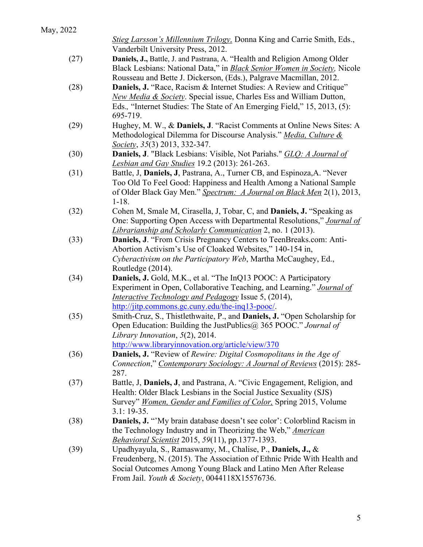|      | Stieg Larsson's Millennium Trilogy, Donna King and Carrie Smith, Eds.,<br>Vanderbilt University Press, 2012.                                                                                                                                                       |
|------|--------------------------------------------------------------------------------------------------------------------------------------------------------------------------------------------------------------------------------------------------------------------|
| (27) | Daniels, J., Battle, J. and Pastrana, A. "Health and Religion Among Older<br>Black Lesbians: National Data," in <b>Black Senior Women in Society</b> , Nicole<br>Rousseau and Bette J. Dickerson, (Eds.), Palgrave Macmillan, 2012.                                |
| (28) | Daniels, J. "Race, Racism & Internet Studies: A Review and Critique"<br>New Media & Society. Special issue, Charles Ess and William Dutton,<br>Eds., "Internet Studies: The State of An Emerging Field," 15, 2013, (5):<br>695-719.                                |
| (29) | Hughey, M. W., & Daniels, J. "Racist Comments at Online News Sites: A<br>Methodological Dilemma for Discourse Analysis." Media, Culture &<br>Society, 35(3) 2013, 332-347.                                                                                         |
| (30) | Daniels, J. "Black Lesbians: Visible, Not Pariahs." GLO: A Journal of<br><b>Lesbian and Gay Studies</b> 19.2 (2013): 261-263.                                                                                                                                      |
| (31) | Battle, J, Daniels, J, Pastrana, A., Turner CB, and Espinoza, A. "Never<br>Too Old To Feel Good: Happiness and Health Among a National Sample<br>of Older Black Gay Men." Spectrum: A Journal on Black Men 2(1), 2013,<br>$1 - 18.$                                |
| (32) | Cohen M, Smale M, Cirasella, J, Tobar, C, and <b>Daniels, J.</b> "Speaking as<br>One: Supporting Open Access with Departmental Resolutions," Journal of<br><i>Librarianship and Scholarly Communication</i> 2, no. 1 (2013).                                       |
| (33) | Daniels, J. "From Crisis Pregnancy Centers to TeenBreaks.com: Anti-<br>Abortion Activism's Use of Cloaked Websites," 140-154 in,<br>Cyberactivism on the Participatory Web, Martha McCaughey, Ed.,<br>Routledge (2014).                                            |
| (34) | <b>Daniels, J.</b> Gold, M.K., et al. "The InQ13 POOC: A Participatory<br>Experiment in Open, Collaborative Teaching, and Learning." Journal of<br><i>Interactive Technology and Pedagogy Issue 5, (2014),</i><br>http://jitp.commons.gc.cuny.edu/the-inq13-pooc/. |
| (35) | Smith-Cruz, S., Thistlethwaite, P., and <b>Daniels, J.</b> "Open Scholarship for<br>Open Education: Building the JustPublics@ 365 POOC." Journal of<br>Library Innovation, $5(2)$ , 2014.<br>http://www.libraryinnovation.org/article/view/370                     |
| (36) | <b>Daniels, J.</b> "Review of Rewire: Digital Cosmopolitans in the Age of<br>Connection," Contemporary Sociology: A Journal of Reviews (2015): 285-<br>287.                                                                                                        |
| (37) | Battle, J, Daniels, J, and Pastrana, A. "Civic Engagement, Religion, and<br>Health: Older Black Lesbians in the Social Justice Sexuality (SJS)<br>Survey" <i>Women, Gender and Families of Color</i> , Spring 2015, Volume<br>$3.1:19-35.$                         |
| (38) | Daniels, J. "'My brain database doesn't see color': Colorblind Racism in<br>the Technology Industry and in Theorizing the Web," American<br><i>Behavioral Scientist</i> 2015, 59(11), pp.1377-1393.                                                                |
| (39) | Upadhyayula, S., Ramaswamy, M., Chalise, P., Daniels, J., &<br>Freudenberg, N. (2015). The Association of Ethnic Pride With Health and<br>Social Outcomes Among Young Black and Latino Men After Release<br>From Jail. Youth & Society, 0044118X15576736.          |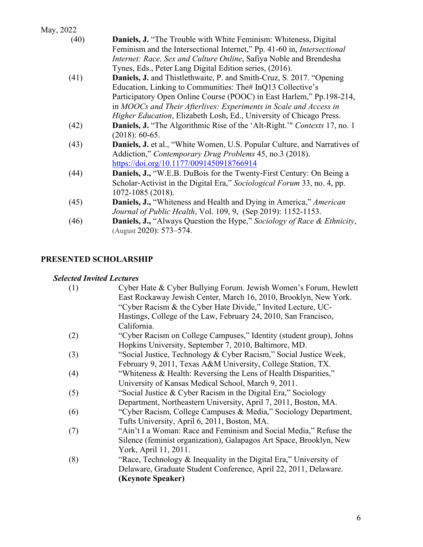| May, 2022 |                                                                                    |
|-----------|------------------------------------------------------------------------------------|
| (40)      | <b>Daniels, J.</b> "The Trouble with White Feminism: Whiteness, Digital            |
|           | Feminism and the Intersectional Internet," Pp. 41-60 in, <i>Intersectional</i>     |
|           | Internet: Race, Sex and Culture Online, Safiya Noble and Brendesha                 |
|           | Tynes, Eds., Peter Lang Digital Edition series, (2016).                            |
| (41)      | <b>Daniels, J.</b> and Thistlethwaite, P. and Smith-Cruz, S. 2017. "Opening        |
|           | Education, Linking to Communities: The# InQ13 Collective's                         |
|           | Participatory Open Online Course (POOC) in East Harlem," Pp.198-214,               |
|           | in MOOCs and Their Afterlives: Experiments in Scale and Access in                  |
|           | Higher Education, Elizabeth Losh, Ed., University of Chicago Press.                |
| (42)      | <b>Daniels, J.</b> "The Algorithmic Rise of the 'Alt-Right.'" Contexts 17, no. 1   |
|           | $(2018): 60-65.$                                                                   |
| (43)      | Daniels, J. et al., "White Women, U.S. Popular Culture, and Narratives of          |
|           | Addiction," Contemporary Drug Problems 45, no.3 (2018).                            |
|           | https://doi.org/10.1177/0091450918766914                                           |
| (44)      | <b>Daniels, J., "W.E.B. DuBois for the Twenty-First Century: On Being a</b>        |
|           | Scholar-Activist in the Digital Era," Sociological Forum 33, no. 4, pp.            |
|           | 1072-1085 (2018).                                                                  |
| (45)      | <b>Daniels, J., "Whiteness and Health and Dying in America," American</b>          |
|           | <i>Journal of Public Health, Vol. 109, 9, (Sep 2019): 1152-1153.</i>               |
| (46)      | <b>Daniels, J., "Always Question the Hype," Sociology of Race &amp; Ethnicity,</b> |
|           | (August 2020): 573-574.                                                            |

# **PRESENTED SCHOLARSHIP**

# *Selected Invited Lectures*

| East Rockaway Jewish Center, March 16, 2010, Brooklyn, New York.           |  |
|----------------------------------------------------------------------------|--|
| "Cyber Racism & the Cyber Hate Divide," Invited Lecture, UC-               |  |
| Hastings, College of the Law, February 24, 2010, San Francisco,            |  |
| California.                                                                |  |
| "Cyber Racism on College Campuses," Identity (student group), Johns<br>(2) |  |
| Hopkins University, September 7, 2010, Baltimore, MD.                      |  |
| "Social Justice, Technology & Cyber Racism," Social Justice Week,<br>(3)   |  |
| February 9, 2011, Texas A&M University, College Station, TX.               |  |
| "Whiteness & Health: Reversing the Lens of Health Disparities,"<br>(4)     |  |
| University of Kansas Medical School, March 9, 2011.                        |  |
| "Social Justice & Cyber Racism in the Digital Era," Sociology<br>(5)       |  |
| Department, Northeastern University, April 7, 2011, Boston, MA.            |  |
| "Cyber Racism, College Campuses & Media," Sociology Department,<br>(6)     |  |
| Tufts University, April 6, 2011, Boston, MA.                               |  |
| "Ain't I a Woman: Race and Feminism and Social Media," Refuse the<br>(7)   |  |
| Silence (feminist organization), Galapagos Art Space, Brooklyn, New        |  |
| York, April 11, 2011.                                                      |  |
| "Race, Technology & Inequality in the Digital Era," University of<br>(8)   |  |
| Delaware, Graduate Student Conference, April 22, 2011, Delaware.           |  |
| (Keynote Speaker)                                                          |  |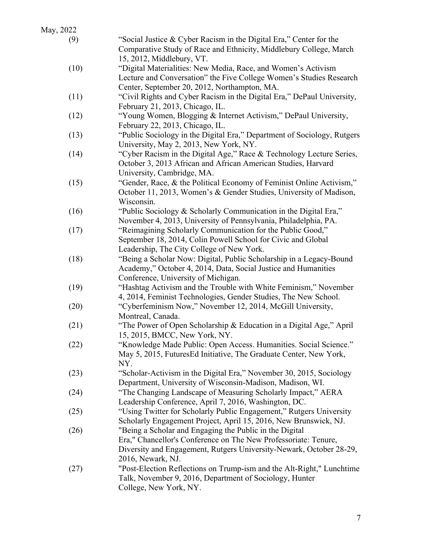| (9)  | "Social Justice & Cyber Racism in the Digital Era," Center for the      |
|------|-------------------------------------------------------------------------|
|      | Comparative Study of Race and Ethnicity, Middlebury College, March      |
|      | 15, 2012, Middlebury, VT.                                               |
| (10) | "Digital Materialities: New Media, Race, and Women's Activism           |
|      | Lecture and Conversation" the Five College Women's Studies Research     |
|      | Center, September 20, 2012, Northampton, MA.                            |
| (11) | "Civil Rights and Cyber Racism in the Digital Era," DePaul University,  |
|      | February 21, 2013, Chicago, IL.                                         |
| (12) | "Young Women, Blogging & Internet Activism," DePaul University,         |
|      | February 22, 2013, Chicago, IL.                                         |
| (13) | "Public Sociology in the Digital Era," Department of Sociology, Rutgers |
|      | University, May 2, 2013, New York, NY.                                  |
| (14) | "Cyber Racism in the Digital Age," Race & Technology Lecture Series,    |
|      | October 3, 2013 African and African American Studies, Harvard           |
|      | University, Cambridge, MA.                                              |
| (15) | "Gender, Race, & the Political Economy of Feminist Online Activism,"    |
|      | October 11, 2013, Women's & Gender Studies, University of Madison,      |
|      | Wisconsin.                                                              |
| (16) | "Public Sociology & Scholarly Communication in the Digital Era,"        |
|      | November 4, 2013, University of Pennsylvania, Philadelphia, PA.         |
| (17) | "Reimagining Scholarly Communication for the Public Good,"              |
|      | September 18, 2014, Colin Powell School for Civic and Global            |
|      | Leadership, The City College of New York.                               |
| (18) | "Being a Scholar Now: Digital, Public Scholarship in a Legacy-Bound     |
|      | Academy," October 4, 2014, Data, Social Justice and Humanities          |
|      | Conference, University of Michigan.                                     |
| (19) | "Hashtag Activism and the Trouble with White Feminism," November        |
|      | 4, 2014, Feminist Technologies, Gender Studies, The New School.         |
| (20) | "Cyberfeminism Now," November 12, 2014, McGill University,              |
|      | Montreal, Canada.                                                       |
| (21) | "The Power of Open Scholarship & Education in a Digital Age," April     |
|      | 15, 2015, BMCC, New York, NY.                                           |
| (22) | "Knowledge Made Public: Open Access. Humanities. Social Science."       |
|      | May 5, 2015, FuturesEd Initiative, The Graduate Center, New York,       |
|      | NY.                                                                     |
| (23) | "Scholar-Activism in the Digital Era," November 30, 2015, Sociology     |
|      | Department, University of Wisconsin-Madison, Madison, WI.               |
| (24) | "The Changing Landscape of Measuring Scholarly Impact," AERA            |
|      | Leadership Conference, April 7, 2016, Washington, DC.                   |
| (25) | "Using Twitter for Scholarly Public Engagement," Rutgers University     |
|      | Scholarly Engagement Project, April 15, 2016, New Brunswick, NJ.        |
| (26) | "Being a Scholar and Engaging the Public in the Digital                 |
|      | Era," Chancellor's Conference on The New Professoriate: Tenure,         |
|      | Diversity and Engagement, Rutgers University-Newark, October 28-29,     |
|      | 2016, Newark, NJ.                                                       |
| (27) | "Post-Election Reflections on Trump-ism and the Alt-Right," Lunchtime   |
|      | Talk, November 9, 2016, Department of Sociology, Hunter                 |
|      | College, New York, NY.                                                  |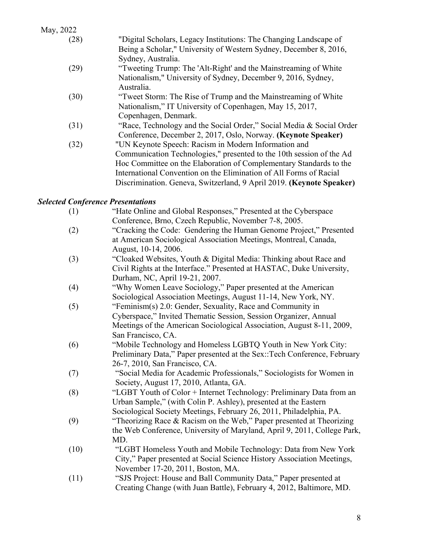| (28) | "Digital Scholars, Legacy Institutions: The Changing Landscape of    |
|------|----------------------------------------------------------------------|
|      | Being a Scholar," University of Western Sydney, December 8, 2016,    |
|      | Sydney, Australia.                                                   |
| (29) | "Tweeting Trump: The 'Alt-Right' and the Mainstreaming of White      |
|      | Nationalism," University of Sydney, December 9, 2016, Sydney,        |
|      | Australia.                                                           |
| (30) | "Tweet Storm: The Rise of Trump and the Mainstreaming of White       |
|      | Nationalism," IT University of Copenhagen, May 15, 2017,             |
|      | Copenhagen, Denmark.                                                 |
| (31) | "Race, Technology and the Social Order," Social Media & Social Order |
|      | Conference, December 2, 2017, Oslo, Norway. (Keynote Speaker)        |
| (32) | "UN Keynote Speech: Racism in Modern Information and                 |
|      | Communication Technologies," presented to the 10th session of the Ad |
|      | Hoc Committee on the Elaboration of Complementary Standards to the   |
|      | International Convention on the Elimination of All Forms of Racial   |
|      | Discrimination. Geneva, Switzerland, 9 April 2019. (Keynote Speaker) |
|      |                                                                      |

# *Selected Conference Presentations*

| (1)  | "Hate Online and Global Responses," Presented at the Cyberspace          |
|------|--------------------------------------------------------------------------|
|      | Conference, Brno, Czech Republic, November 7-8, 2005.                    |
| (2)  | "Cracking the Code: Gendering the Human Genome Project," Presented       |
|      | at American Sociological Association Meetings, Montreal, Canada,         |
|      | August, 10-14, 2006.                                                     |
| (3)  | "Cloaked Websites, Youth & Digital Media: Thinking about Race and        |
|      | Civil Rights at the Interface." Presented at HASTAC, Duke University,    |
|      | Durham, NC, April 19-21, 2007.                                           |
| (4)  | "Why Women Leave Sociology," Paper presented at the American             |
|      | Sociological Association Meetings, August 11-14, New York, NY.           |
| (5)  | "Feminism(s) 2.0: Gender, Sexuality, Race and Community in               |
|      | Cyberspace," Invited Thematic Session, Session Organizer, Annual         |
|      | Meetings of the American Sociological Association, August 8-11, 2009,    |
|      | San Francisco, CA.                                                       |
| (6)  | "Mobile Technology and Homeless LGBTQ Youth in New York City:            |
|      | Preliminary Data," Paper presented at the Sex::Tech Conference, February |
|      | 26-7, 2010, San Francisco, CA.                                           |
| (7)  | "Social Media for Academic Professionals," Sociologists for Women in     |
|      | Society, August 17, 2010, Atlanta, GA.                                   |
| (8)  | "LGBT Youth of Color + Internet Technology: Preliminary Data from an     |
|      | Urban Sample," (with Colin P. Ashley), presented at the Eastern          |
|      | Sociological Society Meetings, February 26, 2011, Philadelphia, PA.      |
| (9)  | "Theorizing Race & Racism on the Web," Paper presented at Theorizing     |
|      | the Web Conference, University of Maryland, April 9, 2011, College Park, |
|      | MD.                                                                      |
| (10) | "LGBT Homeless Youth and Mobile Technology: Data from New York           |
|      | City," Paper presented at Social Science History Association Meetings,   |
|      | November 17-20, 2011, Boston, MA.                                        |
| (11) | "SJS Project: House and Ball Community Data," Paper presented at         |
|      | Creating Change (with Juan Battle), February 4, 2012, Baltimore, MD.     |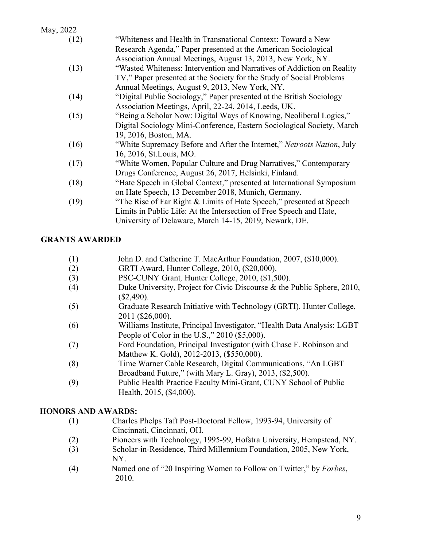May, 2022 (12) "Whiteness and Health in Transnational Context: Toward a New Research Agenda," Paper presented at the American Sociological Association Annual Meetings, August 13, 2013, New York, NY. (13) "Wasted Whiteness: Intervention and Narratives of Addiction on Reality TV," Paper presented at the Society for the Study of Social Problems Annual Meetings, August 9, 2013, New York, NY. (14) "Digital Public Sociology," Paper presented at the British Sociology Association Meetings, April, 22-24, 2014, Leeds, UK. (15) "Being a Scholar Now: Digital Ways of Knowing, Neoliberal Logics," Digital Sociology Mini-Conference, Eastern Sociological Society, March 19, 2016, Boston, MA. (16) "White Supremacy Before and After the Internet," *Netroots Nation*, July 16, 2016, St.Louis, MO. (17) "White Women, Popular Culture and Drug Narratives," Contemporary Drugs Conference, August 26, 2017, Helsinki, Finland. (18) "Hate Speech in Global Context," presented at International Symposium on Hate Speech, 13 December 2018, Munich, Germany. (19) "The Rise of Far Right & Limits of Hate Speech," presented at Speech Limits in Public Life: At the Intersection of Free Speech and Hate,

# **GRANTS AWARDED**

(1) John D. and Catherine T. MacArthur Foundation, 2007, (\$10,000).

University of Delaware, March 14-15, 2019, Newark, DE.

- (2) GRTI Award, Hunter College, 2010, (\$20,000).
- (3) PSC-CUNY Grant*,* Hunter College, 2010, (\$1,500).
- (4) Duke University, Project for Civic Discourse & the Public Sphere, 2010,  $($2,490).$
- (5) Graduate Research Initiative with Technology (GRTI). Hunter College, 2011 (\$26,000).
- (6) Williams Institute, Principal Investigator, "Health Data Analysis: LGBT People of Color in the U.S.," 2010 (\$5,000).
- (7) Ford Foundation, Principal Investigator (with Chase F. Robinson and Matthew K. Gold), 2012-2013, (\$550,000).
- (8) Time Warner Cable Research, Digital Communications, "An LGBT Broadband Future," (with Mary L. Gray), 2013, (\$2,500).
- (9) Public Health Practice Faculty Mini-Grant, CUNY School of Public Health, 2015, (\$4,000).

#### **HONORS AND AWARDS:**

- (1) Charles Phelps Taft Post-Doctoral Fellow, 1993-94, University of Cincinnati, Cincinnati, OH.
- (2) Pioneers with Technology, 1995-99, Hofstra University, Hempstead, NY.
- (3) Scholar-in-Residence, Third Millennium Foundation, 2005, New York, NY.
- (4) Named one of "20 Inspiring Women to Follow on Twitter," by *Forbes*, 2010.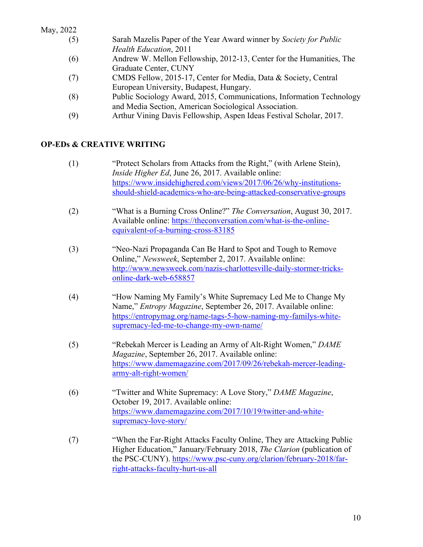| May, 2022 |  |
|-----------|--|
|           |  |

| (5) | Sarah Mazelis Paper of the Year Award winner by Society for Public   |
|-----|----------------------------------------------------------------------|
|     | <i>Health Education, 2011</i>                                        |
| (6) | Andrew W. Mellon Fellowship, 2012-13, Center for the Humanities, The |
|     | Graduate Center, CUNY                                                |

- (7) CMDS Fellow, 2015-17, Center for Media, Data & Society, Central European University, Budapest, Hungary.
- (8) Public Sociology Award, 2015, Communications, Information Technology and Media Section, American Sociological Association.
- (9) Arthur Vining Davis Fellowship, Aspen Ideas Festival Scholar, 2017.

# **OP-EDs & CREATIVE WRITING**

- (1) "Protect Scholars from Attacks from the Right," (with Arlene Stein), *Inside Higher Ed*, June 26, 2017. Available online: https://www.insidehighered.com/views/2017/06/26/why-institutionsshould-shield-academics-who-are-being-attacked-conservative-groups
- (2) "What is a Burning Cross Online?" *The Conversation*, August 30, 2017. Available online: https://theconversation.com/what-is-the-onlineequivalent-of-a-burning-cross-83185
- (3) "Neo-Nazi Propaganda Can Be Hard to Spot and Tough to Remove Online," *Newsweek*, September 2, 2017. Available online: http://www.newsweek.com/nazis-charlottesville-daily-stormer-tricksonline-dark-web-658857
- (4) "How Naming My Family's White Supremacy Led Me to Change My Name," *Entropy Magazine*, September 26, 2017. Available online: https://entropymag.org/name-tags-5-how-naming-my-familys-whitesupremacy-led-me-to-change-my-own-name/
- (5) "Rebekah Mercer is Leading an Army of Alt-Right Women," *DAME Magazine*, September 26, 2017. Available online: https://www.damemagazine.com/2017/09/26/rebekah-mercer-leadingarmy-alt-right-women/
- (6) "Twitter and White Supremacy: A Love Story," *DAME Magazine*, October 19, 2017. Available online: https://www.damemagazine.com/2017/10/19/twitter-and-whitesupremacy-love-story/
- (7) "When the Far-Right Attacks Faculty Online, They are Attacking Public Higher Education," January/February 2018, *The Clarion* (publication of the PSC-CUNY). https://www.psc-cuny.org/clarion/february-2018/farright-attacks-faculty-hurt-us-all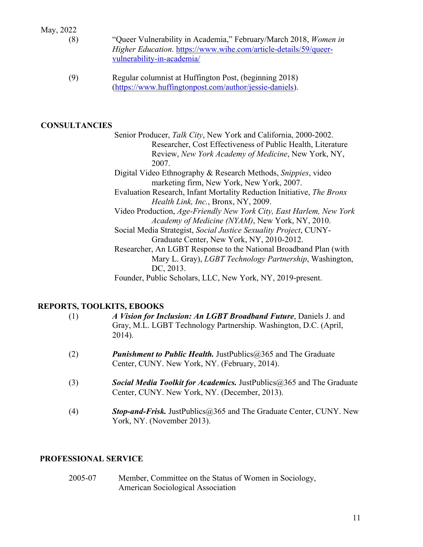| May, 2022 |  |
|-----------|--|
|           |  |

- 
- (8) "Queer Vulnerability in Academia," February/March 2018, *Women in Higher Education*. https://www.wihe.com/article-details/59/queervulnerability-in-academia/
	- (9) Regular columnist at Huffington Post, (beginning 2018) (https://www.huffingtonpost.com/author/jessie-daniels).

#### **CONSULTANCIES**

 Senior Producer, *Talk City*, New York and California, 2000-2002. Researcher, Cost Effectiveness of Public Health, Literature Review, *New York Academy of Medicine*, New York, NY, 2007. Digital Video Ethnography & Research Methods, *Snippies*, video marketing firm, New York, New York, 2007. Evaluation Research, Infant Mortality Reduction Initiative, *The Bronx Health Link, Inc.*, Bronx, NY, 2009. Video Production, *Age-Friendly New York City, East Harlem, New York Academy of Medicine (NYAM)*, New York, NY, 2010. Social Media Strategist, *Social Justice Sexuality Project*, CUNY-Graduate Center, New York, NY, 2010-2012. Researcher, An LGBT Response to the National Broadband Plan (with Mary L. Gray), *LGBT Technology Partnership*, Washington, DC, 2013. Founder, Public Scholars, LLC, New York, NY, 2019-present.

## **REPORTS, TOOLKITS, EBOOKS**

| (1) | A Vision for Inclusion: An LGBT Broadband Future, Daniels J. and<br>Gray, M.L. LGBT Technology Partnership. Washington, D.C. (April,<br>$2014$ ). |
|-----|---------------------------------------------------------------------------------------------------------------------------------------------------|
| (2) | <b>Punishment to Public Health.</b> Just Publics $\omega$ 365 and The Graduate<br>Center, CUNY. New York, NY. (February, 2014).                   |
| (3) | <b>Social Media Toolkit for Academics.</b> JustPublics@365 and The Graduate<br>Center, CUNY. New York, NY. (December, 2013).                      |
| (4) | <b>Stop-and-Frisk.</b> JustPublics@365 and The Graduate Center, CUNY. New<br>York, NY. (November 2013).                                           |

## **PROFESSIONAL SERVICE**

2005-07 Member, Committee on the Status of Women in Sociology, American Sociological Association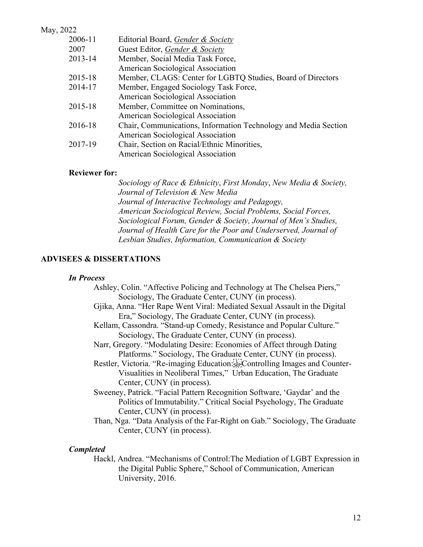May, 2022 2006-11 Editorial Board, *Gender & Society* 2007 Guest Editor, *Gender & Society* 2013-14 Member, Social Media Task Force, American Sociological Association 2015-18 Member, CLAGS: Center for LGBTQ Studies, Board of Directors 2014-17 Member, Engaged Sociology Task Force, American Sociological Association 2015-18 Member, Committee on Nominations, American Sociological Association 2016-18 Chair, Communications, Information Technology and Media Section American Sociological Association 2017-19 Chair, Section on Racial/Ethnic Minorities, American Sociological Association

#### **Reviewer for:**

*Sociology of Race & Ethnicity*, *First Monday*, *New Media & Society, Journal of Television & New Media Journal of Interactive Technology and Pedagogy, American Sociological Review, Social Problems, Social Forces, Sociological Forum, Gender & Society, Journal of Men's Studies, Journal of Health Care for the Poor and Underserved, Journal of Lesbian Studies, Information, Communication & Society*

#### **ADVISEES & DISSERTATIONS**

#### *In Process*

- Ashley, Colin. "Affective Policing and Technology at The Chelsea Piers," Sociology, The Graduate Center, CUNY (in process).
- Gjika, Anna. "Her Rape Went Viral: Mediated Sexual Assault in the Digital Era," Sociology, The Graduate Center, CUNY (in process).
- Kellam, Cassondra. "Stand-up Comedy, Resistance and Popular Culture." Sociology, The Graduate Center, CUNY (in process).
- Narr, Gregory. "Modulating Desire: Economies of Affect through Dating Platforms." Sociology, The Graduate Center, CUNY (in process).
- Restler, Victoria. "Re-imaging Education: EP: Controlling Images and Counter-Visualities in Neoliberal Times," Urban Education, The Graduate Center, CUNY (in process).
- Sweeney, Patrick. "Facial Pattern Recognition Software, 'Gaydar' and the Politics of Immutability." Critical Social Psychology, The Graduate Center, CUNY (in process).
- Than, Nga. "Data Analysis of the Far-Right on Gab." Sociology, The Graduate Center, CUNY (in process).

#### *Completed*

Hackl, Andrea. "Mechanisms of Control:The Mediation of LGBT Expression in the Digital Public Sphere," School of Communication, American University, 2016.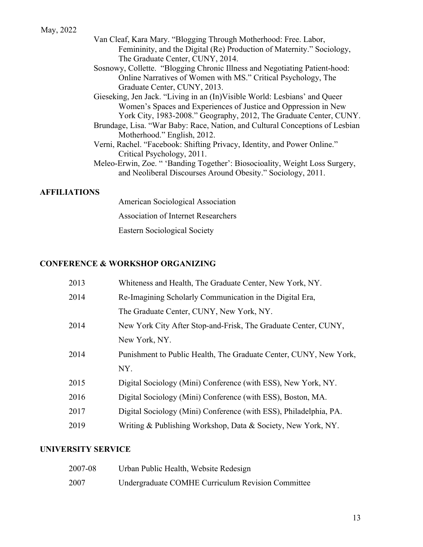- Van Cleaf, Kara Mary. "Blogging Through Motherhood: Free. Labor, Femininity, and the Digital (Re) Production of Maternity." Sociology, The Graduate Center, CUNY, 2014.
- Sosnowy, Collette. "Blogging Chronic Illness and Negotiating Patient-hood: Online Narratives of Women with MS." Critical Psychology, The Graduate Center, CUNY, 2013.
- Gieseking, Jen Jack. "Living in an (In)Visible World: Lesbians' and Queer Women's Spaces and Experiences of Justice and Oppression in New York City, 1983-2008." Geography, 2012, The Graduate Center, CUNY.
- Brundage, Lisa. "War Baby: Race, Nation, and Cultural Conceptions of Lesbian Motherhood." English, 2012.
- Verni, Rachel. "Facebook: Shifting Privacy, Identity, and Power Online." Critical Psychology, 2011.
- Meleo-Erwin, Zoe. " 'Banding Together': Biosocioality, Weight Loss Surgery, and Neoliberal Discourses Around Obesity." Sociology, 2011.

#### **AFFILIATIONS**

American Sociological Association Association of Internet Researchers Eastern Sociological Society

## **CONFERENCE & WORKSHOP ORGANIZING**

| 2013 | Whiteness and Health, The Graduate Center, New York, NY.          |
|------|-------------------------------------------------------------------|
| 2014 | Re-Imagining Scholarly Communication in the Digital Era,          |
|      | The Graduate Center, CUNY, New York, NY.                          |
| 2014 | New York City After Stop-and-Frisk, The Graduate Center, CUNY,    |
|      | New York, NY.                                                     |
| 2014 | Punishment to Public Health, The Graduate Center, CUNY, New York, |
|      | NY.                                                               |
| 2015 | Digital Sociology (Mini) Conference (with ESS), New York, NY.     |
| 2016 | Digital Sociology (Mini) Conference (with ESS), Boston, MA.       |
| 2017 | Digital Sociology (Mini) Conference (with ESS), Philadelphia, PA. |
| 2019 | Writing & Publishing Workshop, Data & Society, New York, NY.      |

#### **UNIVERSITY SERVICE**

| 2007-08 | Urban Public Health, Website Redesign             |
|---------|---------------------------------------------------|
| 2007    | Undergraduate COMHE Curriculum Revision Committee |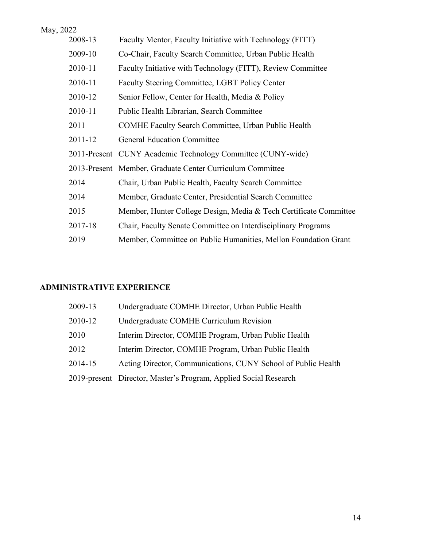| May, 2022 |                                                                   |
|-----------|-------------------------------------------------------------------|
| 2008-13   | Faculty Mentor, Faculty Initiative with Technology (FITT)         |
| 2009-10   | Co-Chair, Faculty Search Committee, Urban Public Health           |
| 2010-11   | Faculty Initiative with Technology (FITT), Review Committee       |
| 2010-11   | Faculty Steering Committee, LGBT Policy Center                    |
| 2010-12   | Senior Fellow, Center for Health, Media & Policy                  |
| 2010-11   | Public Health Librarian, Search Committee                         |
| 2011      | <b>COMHE Faculty Search Committee, Urban Public Health</b>        |
| 2011-12   | <b>General Education Committee</b>                                |
|           | 2011-Present CUNY Academic Technology Committee (CUNY-wide)       |
|           | 2013-Present Member, Graduate Center Curriculum Committee         |
| 2014      | Chair, Urban Public Health, Faculty Search Committee              |
| 2014      | Member, Graduate Center, Presidential Search Committee            |
| 2015      | Member, Hunter College Design, Media & Tech Certificate Committee |
| 2017-18   | Chair, Faculty Senate Committee on Interdisciplinary Programs     |
| 2019      | Member, Committee on Public Humanities, Mellon Foundation Grant   |

# **ADMINISTRATIVE EXPERIENCE**

| 2009-13 | Undergraduate COMHE Director, Urban Public Health                |
|---------|------------------------------------------------------------------|
| 2010-12 | Undergraduate COMHE Curriculum Revision                          |
| 2010    | Interim Director, COMHE Program, Urban Public Health             |
| 2012    | Interim Director, COMHE Program, Urban Public Health             |
| 2014-15 | Acting Director, Communications, CUNY School of Public Health    |
|         | 2019-present Director, Master's Program, Applied Social Research |